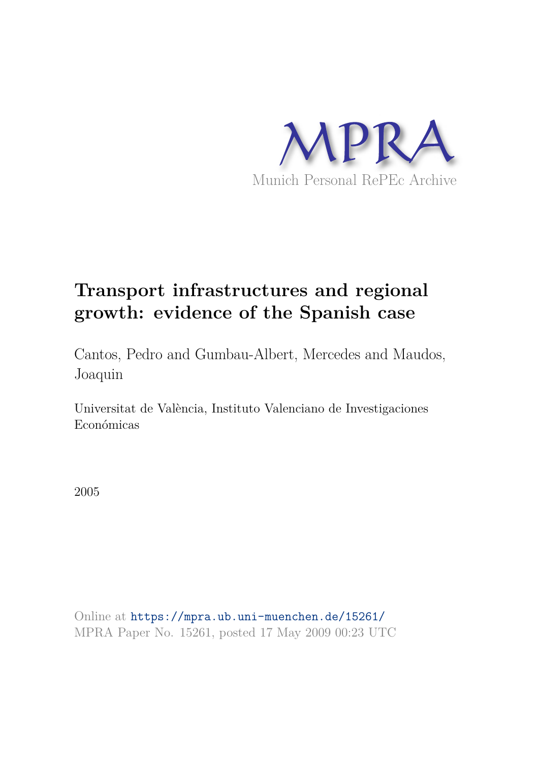

# **Transport infrastructures and regional growth: evidence of the Spanish case**

Cantos, Pedro and Gumbau-Albert, Mercedes and Maudos, Joaquin

Universitat de València, Instituto Valenciano de Investigaciones Económicas

2005

Online at https://mpra.ub.uni-muenchen.de/15261/ MPRA Paper No. 15261, posted 17 May 2009 00:23 UTC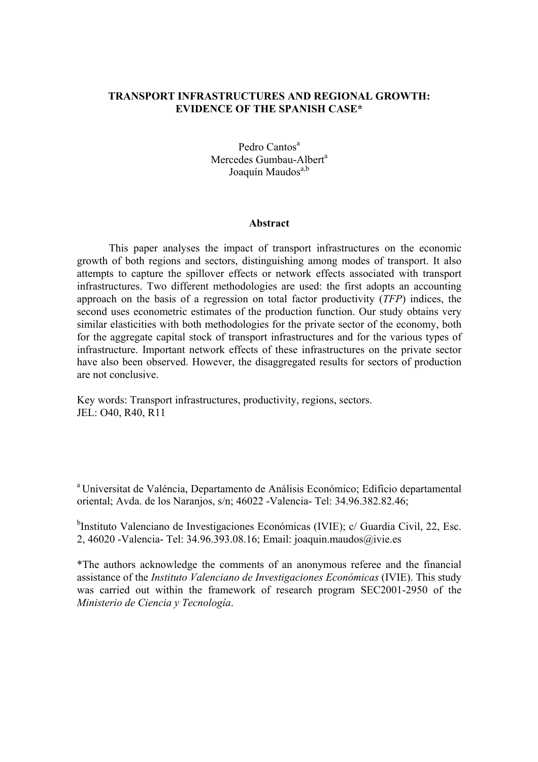# **TRANSPORT INFRASTRUCTURES AND REGIONAL GROWTH: EVIDENCE OF THE SPANISH CASE\***

Pedro Cantos<sup>a</sup> Mercedes Gumbau-Albert<sup>a</sup> Joaquín Maudos<sup>a,b</sup>

#### **Abstract**

This paper analyses the impact of transport infrastructures on the economic growth of both regions and sectors, distinguishing among modes of transport. It also attempts to capture the spillover effects or network effects associated with transport infrastructures. Two different methodologies are used: the first adopts an accounting approach on the basis of a regression on total factor productivity (*TFP*) indices, the second uses econometric estimates of the production function. Our study obtains very similar elasticities with both methodologies for the private sector of the economy, both for the aggregate capital stock of transport infrastructures and for the various types of infrastructure. Important network effects of these infrastructures on the private sector have also been observed. However, the disaggregated results for sectors of production are not conclusive.

Key words: Transport infrastructures, productivity, regions, sectors. JEL: O40, R40, R11

<sup>a</sup>Universitat de Valéncia, Departamento de Análisis Económico; Edificio departamental oriental; Avda. de los Naranjos, s/n; 46022 -Valencia- Tel: 34.96.382.82.46;

<sup>b</sup>Instituto Valenciano de Investigaciones Económicas (IVIE); c/ Guardia Civil, 22, Esc. 2, 46020 -Valencia- Tel: 34.96.393.08.16; Email: joaquin.maudos@ivie.es

\*The authors acknowledge the comments of an anonymous referee and the financial assistance of the *Instituto Valenciano de Investigaciones Económicas* (IVIE). This study was carried out within the framework of research program SEC2001-2950 of the *Ministerio de Ciencia y Tecnología*.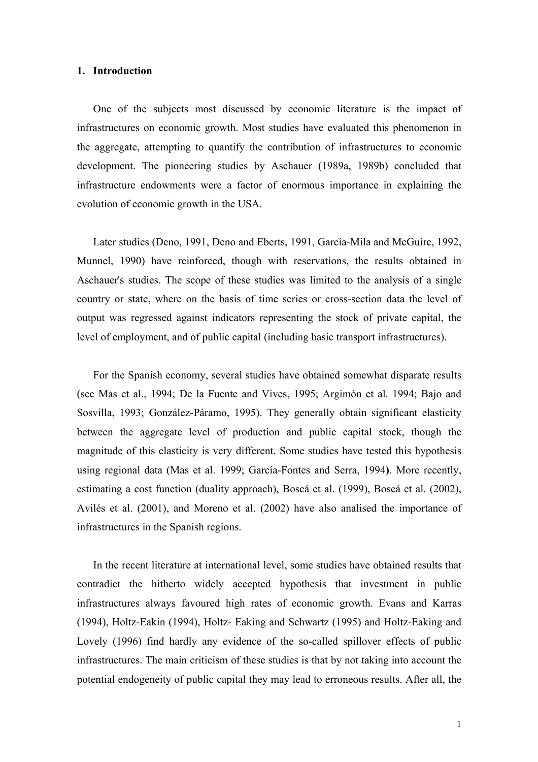#### **1. Introduction**

One of the subjects most discussed by economic literature is the impact of infrastructures on economic growth. Most studies have evaluated this phenomenon in the aggregate, attempting to quantify the contribution of infrastructures to economic development. The pioneering studies by Aschauer (1989a, 1989b) concluded that infrastructure endowments were a factor of enormous importance in explaining the evolution of economic growth in the USA.

Later studies (Deno, 1991, Deno and Eberts, 1991, García-Mila and McGuire, 1992, Munnel, 1990) have reinforced, though with reservations, the results obtained in Aschauer's studies. The scope of these studies was limited to the analysis of a single country or state, where on the basis of time series or cross-section data the level of output was regressed against indicators representing the stock of private capital, the level of employment, and of public capital (including basic transport infrastructures).

For the Spanish economy, several studies have obtained somewhat disparate results (see Mas et al., 1994; De la Fuente and Vives, 1995; Argimón et al. 1994; Bajo and Sosvilla, 1993; González-Páramo, 1995). They generally obtain significant elasticity between the aggregate level of production and public capital stock, though the magnitude of this elasticity is very different. Some studies have tested this hypothesis using regional data (Mas et al. 1999; García-Fontes and Serra, 1994**)**. More recently, estimating a cost function (duality approach), Boscá et al. (1999), Boscá et al. (2002), Avilés et al. (2001), and Moreno et al. (2002) have also analised the importance of infrastructures in the Spanish regions.

In the recent literature at international level, some studies have obtained results that contradict the hitherto widely accepted hypothesis that investment in public infrastructures always favoured high rates of economic growth. Evans and Karras (1994), Holtz-Eakin (1994), Holtz- Eaking and Schwartz (1995) and Holtz-Eaking and Lovely (1996) find hardly any evidence of the so-called spillover effects of public infrastructures. The main criticism of these studies is that by not taking into account the potential endogeneity of public capital they may lead to erroneous results. After all, the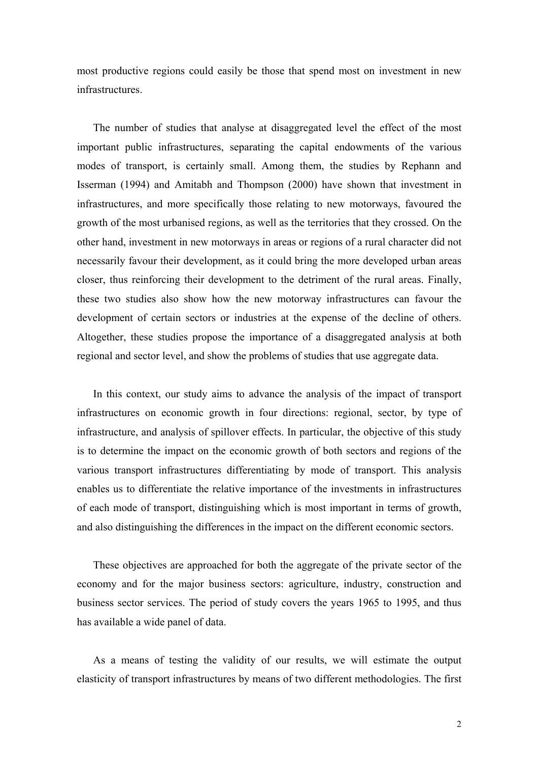most productive regions could easily be those that spend most on investment in new infrastructures.

The number of studies that analyse at disaggregated level the effect of the most important public infrastructures, separating the capital endowments of the various modes of transport, is certainly small. Among them, the studies by Rephann and Isserman (1994) and Amitabh and Thompson (2000) have shown that investment in infrastructures, and more specifically those relating to new motorways, favoured the growth of the most urbanised regions, as well as the territories that they crossed. On the other hand, investment in new motorways in areas or regions of a rural character did not necessarily favour their development, as it could bring the more developed urban areas closer, thus reinforcing their development to the detriment of the rural areas. Finally, these two studies also show how the new motorway infrastructures can favour the development of certain sectors or industries at the expense of the decline of others. Altogether, these studies propose the importance of a disaggregated analysis at both regional and sector level, and show the problems of studies that use aggregate data.

In this context, our study aims to advance the analysis of the impact of transport infrastructures on economic growth in four directions: regional, sector, by type of infrastructure, and analysis of spillover effects. In particular, the objective of this study is to determine the impact on the economic growth of both sectors and regions of the various transport infrastructures differentiating by mode of transport. This analysis enables us to differentiate the relative importance of the investments in infrastructures of each mode of transport, distinguishing which is most important in terms of growth, and also distinguishing the differences in the impact on the different economic sectors.

These objectives are approached for both the aggregate of the private sector of the economy and for the major business sectors: agriculture, industry, construction and business sector services. The period of study covers the years 1965 to 1995, and thus has available a wide panel of data.

As a means of testing the validity of our results, we will estimate the output elasticity of transport infrastructures by means of two different methodologies. The first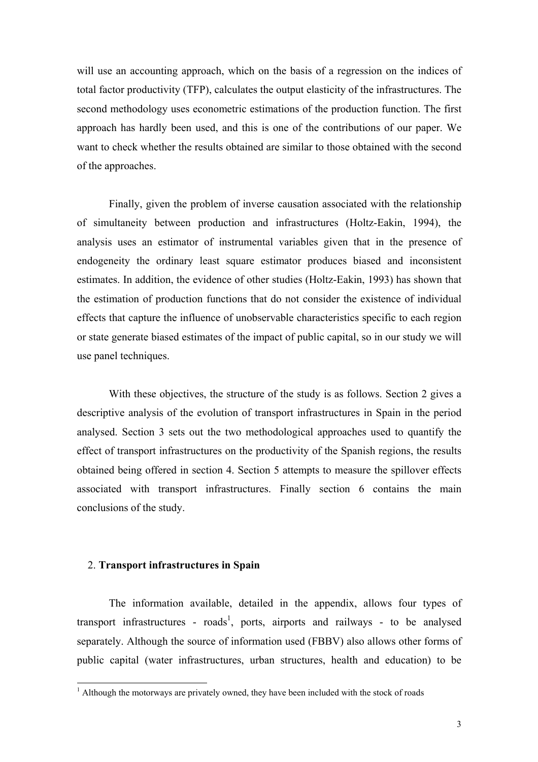will use an accounting approach, which on the basis of a regression on the indices of total factor productivity (TFP), calculates the output elasticity of the infrastructures. The second methodology uses econometric estimations of the production function. The first approach has hardly been used, and this is one of the contributions of our paper. We want to check whether the results obtained are similar to those obtained with the second of the approaches.

Finally, given the problem of inverse causation associated with the relationship of simultaneity between production and infrastructures (Holtz-Eakin, 1994), the analysis uses an estimator of instrumental variables given that in the presence of endogeneity the ordinary least square estimator produces biased and inconsistent estimates. In addition, the evidence of other studies (Holtz-Eakin, 1993) has shown that the estimation of production functions that do not consider the existence of individual effects that capture the influence of unobservable characteristics specific to each region or state generate biased estimates of the impact of public capital, so in our study we will use panel techniques.

With these objectives, the structure of the study is as follows. Section 2 gives a descriptive analysis of the evolution of transport infrastructures in Spain in the period analysed. Section 3 sets out the two methodological approaches used to quantify the effect of transport infrastructures on the productivity of the Spanish regions, the results obtained being offered in section 4. Section 5 attempts to measure the spillover effects associated with transport infrastructures. Finally section 6 contains the main conclusions of the study.

# 2. **Transport infrastructures in Spain**

The information available, detailed in the appendix, allows four types of transport infrastructures - roads<sup>1</sup>, ports, airports and railways - to be analysed separately. Although the source of information used (FBBV) also allows other forms of public capital (water infrastructures, urban structures, health and education) to be

<sup>&</sup>lt;sup>1</sup> Although the motorways are privately owned, they have been included with the stock of roads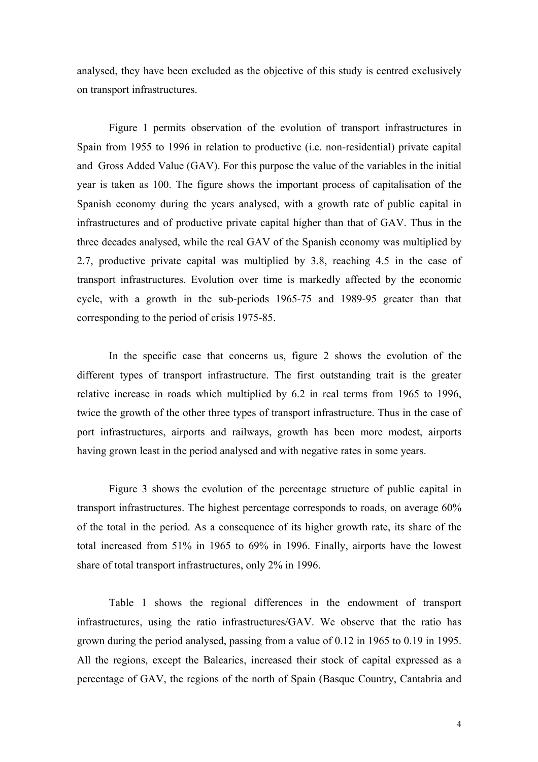analysed, they have been excluded as the objective of this study is centred exclusively on transport infrastructures.

Figure 1 permits observation of the evolution of transport infrastructures in Spain from 1955 to 1996 in relation to productive (i.e. non-residential) private capital and Gross Added Value (GAV). For this purpose the value of the variables in the initial year is taken as 100. The figure shows the important process of capitalisation of the Spanish economy during the years analysed, with a growth rate of public capital in infrastructures and of productive private capital higher than that of GAV. Thus in the three decades analysed, while the real GAV of the Spanish economy was multiplied by 2.7, productive private capital was multiplied by 3.8, reaching 4.5 in the case of transport infrastructures. Evolution over time is markedly affected by the economic cycle, with a growth in the sub-periods 1965-75 and 1989-95 greater than that corresponding to the period of crisis 1975-85.

 In the specific case that concerns us, figure 2 shows the evolution of the different types of transport infrastructure. The first outstanding trait is the greater relative increase in roads which multiplied by 6.2 in real terms from 1965 to 1996, twice the growth of the other three types of transport infrastructure. Thus in the case of port infrastructures, airports and railways, growth has been more modest, airports having grown least in the period analysed and with negative rates in some years.

 Figure 3 shows the evolution of the percentage structure of public capital in transport infrastructures. The highest percentage corresponds to roads, on average 60% of the total in the period. As a consequence of its higher growth rate, its share of the total increased from 51% in 1965 to 69% in 1996. Finally, airports have the lowest share of total transport infrastructures, only 2% in 1996.

 Table 1 shows the regional differences in the endowment of transport infrastructures, using the ratio infrastructures/GAV. We observe that the ratio has grown during the period analysed, passing from a value of 0.12 in 1965 to 0.19 in 1995. All the regions, except the Balearics, increased their stock of capital expressed as a percentage of GAV, the regions of the north of Spain (Basque Country, Cantabria and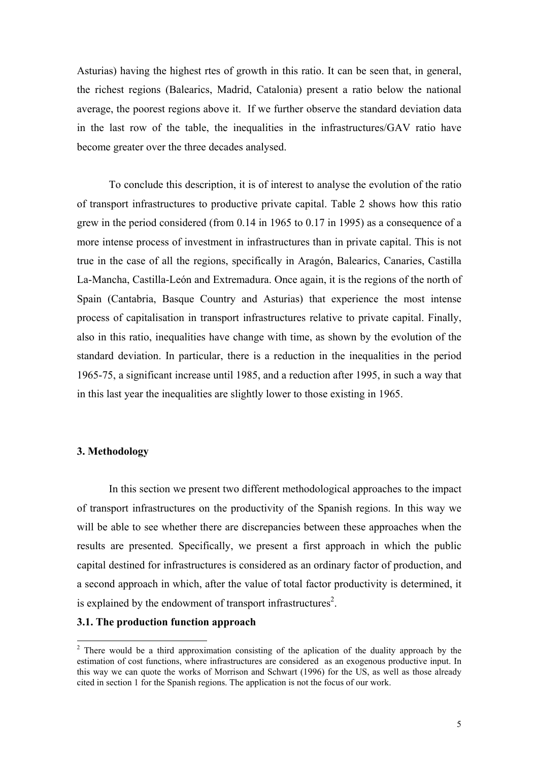Asturias) having the highest rtes of growth in this ratio. It can be seen that, in general, the richest regions (Balearics, Madrid, Catalonia) present a ratio below the national average, the poorest regions above it. If we further observe the standard deviation data in the last row of the table, the inequalities in the infrastructures/GAV ratio have become greater over the three decades analysed.

 To conclude this description, it is of interest to analyse the evolution of the ratio of transport infrastructures to productive private capital. Table 2 shows how this ratio grew in the period considered (from 0.14 in 1965 to 0.17 in 1995) as a consequence of a more intense process of investment in infrastructures than in private capital. This is not true in the case of all the regions, specifically in Aragón, Balearics, Canaries, Castilla La-Mancha, Castilla-León and Extremadura. Once again, it is the regions of the north of Spain (Cantabria, Basque Country and Asturias) that experience the most intense process of capitalisation in transport infrastructures relative to private capital. Finally, also in this ratio, inequalities have change with time, as shown by the evolution of the standard deviation. In particular, there is a reduction in the inequalities in the period 1965-75, a significant increase until 1985, and a reduction after 1995, in such a way that in this last year the inequalities are slightly lower to those existing in 1965.

## **3. Methodology**

 In this section we present two different methodological approaches to the impact of transport infrastructures on the productivity of the Spanish regions. In this way we will be able to see whether there are discrepancies between these approaches when the results are presented. Specifically, we present a first approach in which the public capital destined for infrastructures is considered as an ordinary factor of production, and a second approach in which, after the value of total factor productivity is determined, it is explained by the endowment of transport infrastructures<sup>2</sup>.

# **3.1. The production function approach**

<sup>&</sup>lt;sup>2</sup> There would be a third approximation consisting of the aplication of the duality approach by the estimation of cost functions, where infrastructures are considered as an exogenous productive input. In this way we can quote the works of Morrison and Schwart (1996) for the US, as well as those already cited in section 1 for the Spanish regions. The application is not the focus of our work.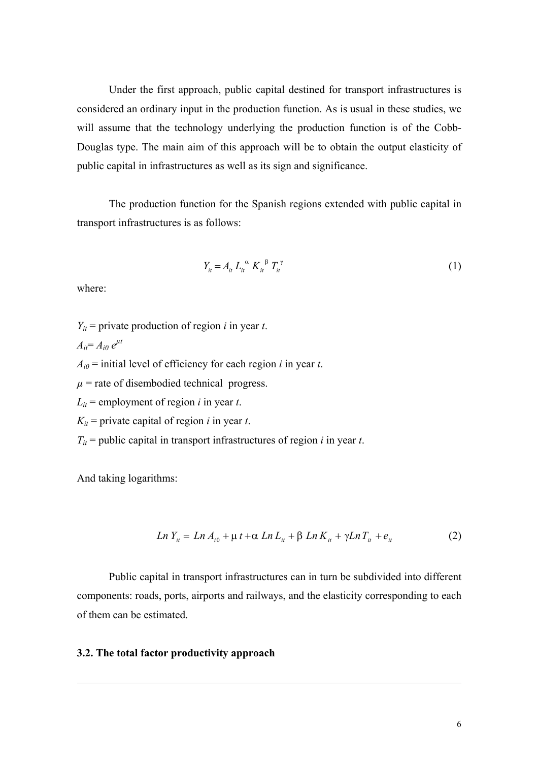Under the first approach, public capital destined for transport infrastructures is considered an ordinary input in the production function. As is usual in these studies, we will assume that the technology underlying the production function is of the Cobb-Douglas type. The main aim of this approach will be to obtain the output elasticity of public capital in infrastructures as well as its sign and significance.

The production function for the Spanish regions extended with public capital in transport infrastructures is as follows:

$$
Y_{it} = A_{it} L_{it}^{\alpha} K_{it}^{\beta} T_{it}^{\gamma}
$$
 (1)

where:

- $Y_{it}$  = private production of region *i* in year *t*.
- $A_{it} = A_{i0} e^{\mu t}$

 $A_{i0}$  = initial level of efficiency for each region *i* in year *t*.

- $\mu$  = rate of disembodied technical progress.
- $L_{it}$  = employment of region *i* in year *t*.
- $K_{it}$  = private capital of region *i* in year *t*.
- $T_{it}$  = public capital in transport infrastructures of region *i* in year *t*.

And taking logarithms:

-

$$
Ln Y_{it} = Ln A_{i0} + \mu t + \alpha Ln L_{it} + \beta Ln K_{it} + \gamma Ln T_{it} + e_{it}
$$
 (2)

 Public capital in transport infrastructures can in turn be subdivided into different components: roads, ports, airports and railways, and the elasticity corresponding to each of them can be estimated.

#### **3.2. The total factor productivity approach**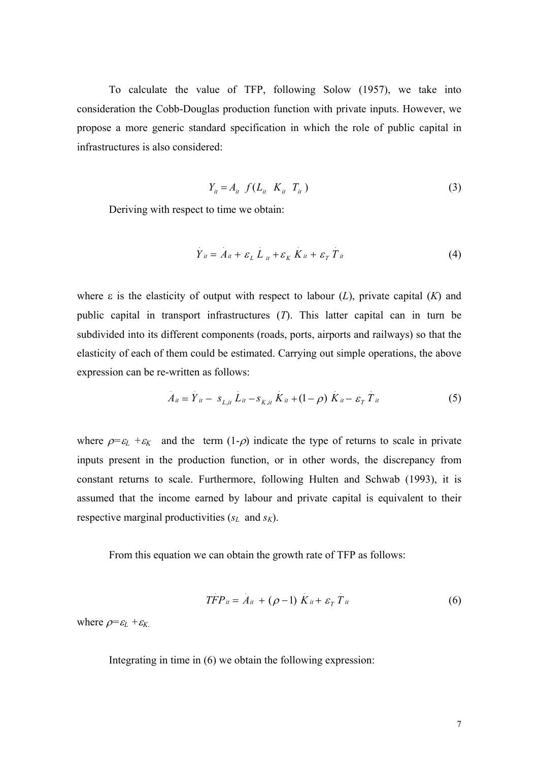To calculate the value of TFP, following Solow (1957), we take into consideration the Cobb-Douglas production function with private inputs. However, we propose a more generic standard specification in which the role of public capital in infrastructures is also considered:

$$
Y_{it} = A_{it} f(L_{it} K_{it} T_{it})
$$
\n
$$
(3)
$$

Deriving with respect to time we obtain:

$$
\dot{Y}_{it} = \dot{A}_{it} + \varepsilon_L \dot{L}_{it} + \varepsilon_K \dot{K}_{it} + \varepsilon_T \dot{T}_{it}
$$
\n(4)

where ε is the elasticity of output with respect to labour (*L*), private capital (*K*) and public capital in transport infrastructures (*T*). This latter capital can in turn be subdivided into its different components (roads, ports, airports and railways) so that the elasticity of each of them could be estimated. Carrying out simple operations, the above expression can be re-written as follows:

$$
A_{it} = \dot{Y}_{it} - s_{L,it} \dot{L}_{it} - s_{K,it} \dot{K}_{it} + (1 - \rho) \dot{K}_{it} - \varepsilon_{T} \dot{T}_{it}
$$
(5)

where  $\rho = \varepsilon_L + \varepsilon_K$  and the term  $(1-\rho)$  indicate the type of returns to scale in private inputs present in the production function, or in other words, the discrepancy from constant returns to scale. Furthermore, following Hulten and Schwab (1993), it is assumed that the income earned by labour and private capital is equivalent to their respective marginal productivities (*sL* and *sK*).

From this equation we can obtain the growth rate of TFP as follows:

$$
TFP_u = A_u + (\rho - 1) K_u + \varepsilon_T T_u \tag{6}
$$

where  $\rho = \varepsilon_L + \varepsilon_K$ .

Integrating in time in (6) we obtain the following expression: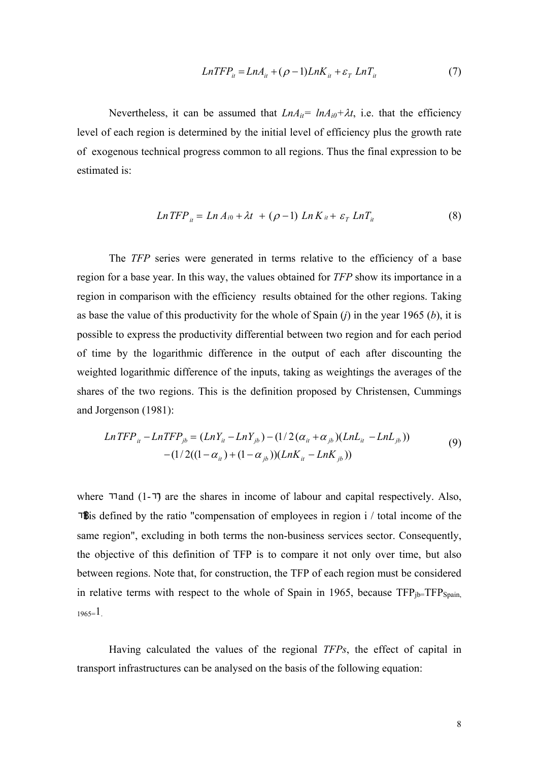$$
LnTFP_{ii} = LnA_{ii} + (\rho - 1)LnK_{ii} + \varepsilon_T LnT_{ii}
$$
\n<sup>(7)</sup>

Nevertheless, it can be assumed that  $LnA_{it} = lnA_{i0} + \lambda t$ , i.e. that the efficiency level of each region is determined by the initial level of efficiency plus the growth rate of exogenous technical progress common to all regions. Thus the final expression to be estimated is:

$$
Ln TFP_{it} = Ln A_{i0} + \lambda t + (\rho - 1) Ln K_{it} + \varepsilon_T Ln T_{it}
$$
\n(8)

The *TFP* series were generated in terms relative to the efficiency of a base region for a base year. In this way, the values obtained for *TFP* show its importance in a region in comparison with the efficiency results obtained for the other regions. Taking as base the value of this productivity for the whole of Spain (*j*) in the year 1965 (*b*), it is possible to express the productivity differential between two region and for each period of time by the logarithmic difference in the output of each after discounting the weighted logarithmic difference of the inputs, taking as weightings the averages of the shares of the two regions. This is the definition proposed by Christensen, Cummings and Jorgenson (1981):

$$
Ln TFP_{ii} - Ln TFP_{jb} = (LnY_{it} - LnY_{jb}) - (1/2(\alpha_{it} + \alpha_{jb})(LnL_{it} - LnL_{jb})) - (1/2((1 - \alpha_{it}) + (1 - \alpha_{jb}))(LnK_{it} - LnK_{jb}))
$$
\n(9)

where  $\pi$  and  $(1-\pi)$  are the shares in income of labour and capital respectively. Also, **Th** is defined by the ratio "compensation of employees in region  $i /$  total income of the same region", excluding in both terms the non-business services sector. Consequently, the objective of this definition of TFP is to compare it not only over time, but also between regions. Note that, for construction, the TFP of each region must be considered in relative terms with respect to the whole of Spain in 1965, because  $TFP_{jb}=TFP_{Spain}$ ,  $1965=1$ 

 Having calculated the values of the regional *TFPs*, the effect of capital in transport infrastructures can be analysed on the basis of the following equation: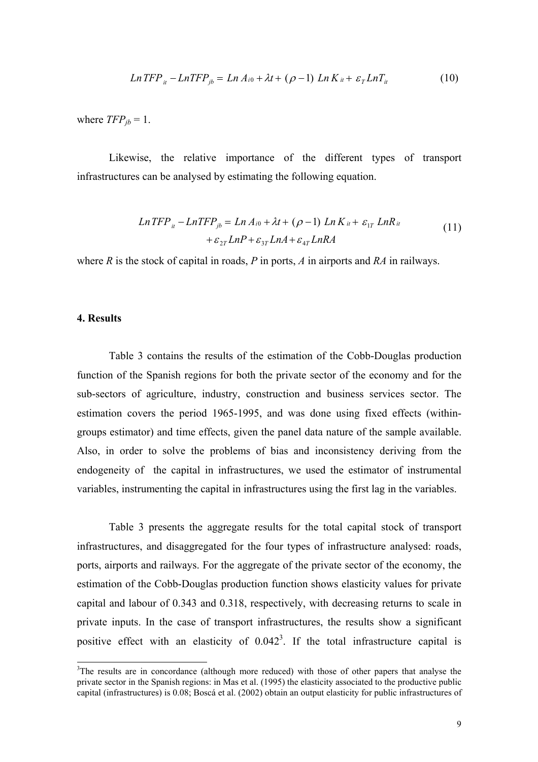$$
Ln TFP_{it} - Ln TFP_{jb} = Ln A_{i0} + \lambda t + (\rho - 1) Ln K_{it} + \varepsilon_T Ln T_{it}
$$
\n(10)

where  $TFP_{jb} = 1$ .

Likewise, the relative importance of the different types of transport infrastructures can be analysed by estimating the following equation.

$$
Ln TFP_{it} - Ln TFP_{jb} = Ln A_{i0} + \lambda t + (\rho - 1) Ln K_{it} + \varepsilon_{1T} Ln R_{it}
$$
  
+  $\varepsilon_{2T} LnP + \varepsilon_{3T} LnA + \varepsilon_{4T} Ln R A$  (11)

where *R* is the stock of capital in roads, *P* in ports, *A* in airports and *RA* in railways.

#### **4. Results**

-

Table 3 contains the results of the estimation of the Cobb-Douglas production function of the Spanish regions for both the private sector of the economy and for the sub-sectors of agriculture, industry, construction and business services sector. The estimation covers the period 1965-1995, and was done using fixed effects (withingroups estimator) and time effects, given the panel data nature of the sample available. Also, in order to solve the problems of bias and inconsistency deriving from the endogeneity of the capital in infrastructures, we used the estimator of instrumental variables, instrumenting the capital in infrastructures using the first lag in the variables.

Table 3 presents the aggregate results for the total capital stock of transport infrastructures, and disaggregated for the four types of infrastructure analysed: roads, ports, airports and railways. For the aggregate of the private sector of the economy, the estimation of the Cobb-Douglas production function shows elasticity values for private capital and labour of 0.343 and 0.318, respectively, with decreasing returns to scale in private inputs. In the case of transport infrastructures, the results show a significant positive effect with an elasticity of  $0.042<sup>3</sup>$ . If the total infrastructure capital is

 $3$ The results are in concordance (although more reduced) with those of other papers that analyse the private sector in the Spanish regions: in Mas et al. (1995) the elasticity associated to the productive public capital (infrastructures) is 0.08; Boscá et al. (2002) obtain an output elasticity for public infrastructures of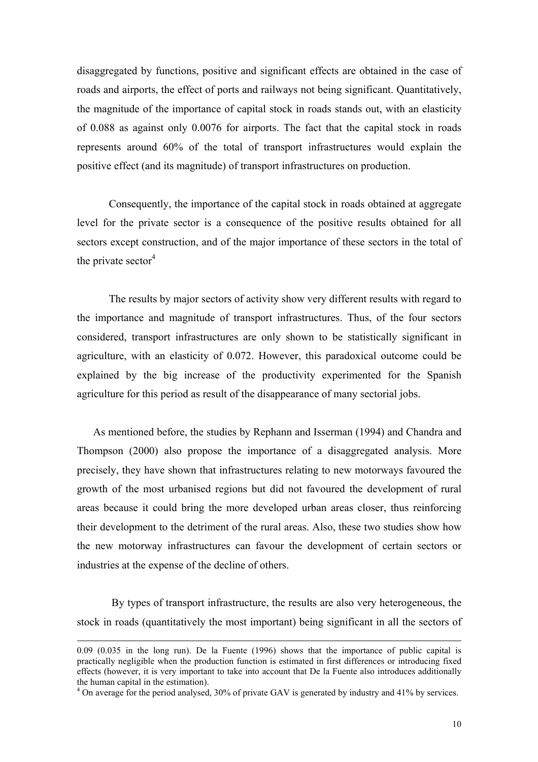disaggregated by functions, positive and significant effects are obtained in the case of roads and airports, the effect of ports and railways not being significant. Quantitatively, the magnitude of the importance of capital stock in roads stands out, with an elasticity of 0.088 as against only 0.0076 for airports. The fact that the capital stock in roads represents around 60% of the total of transport infrastructures would explain the positive effect (and its magnitude) of transport infrastructures on production.

Consequently, the importance of the capital stock in roads obtained at aggregate level for the private sector is a consequence of the positive results obtained for all sectors except construction, and of the major importance of these sectors in the total of the private sector $4$ 

The results by major sectors of activity show very different results with regard to the importance and magnitude of transport infrastructures. Thus, of the four sectors considered, transport infrastructures are only shown to be statistically significant in agriculture, with an elasticity of 0.072. However, this paradoxical outcome could be explained by the big increase of the productivity experimented for the Spanish agriculture for this period as result of the disappearance of many sectorial jobs.

As mentioned before, the studies by Rephann and Isserman (1994) and Chandra and Thompson (2000) also propose the importance of a disaggregated analysis. More precisely, they have shown that infrastructures relating to new motorways favoured the growth of the most urbanised regions but did not favoured the development of rural areas because it could bring the more developed urban areas closer, thus reinforcing their development to the detriment of the rural areas. Also, these two studies show how the new motorway infrastructures can favour the development of certain sectors or industries at the expense of the decline of others.

 By types of transport infrastructure, the results are also very heterogeneous, the stock in roads (quantitatively the most important) being significant in all the sectors of

-

<sup>0.09 (0.035</sup> in the long run). De la Fuente (1996) shows that the importance of public capital is practically negligible when the production function is estimated in first differences or introducing fixed effects (however, it is very important to take into account that De la Fuente also introduces additionally the human capital in the estimation).

<sup>&</sup>lt;sup>4</sup> On average for the period analysed, 30% of private GAV is generated by industry and 41% by services.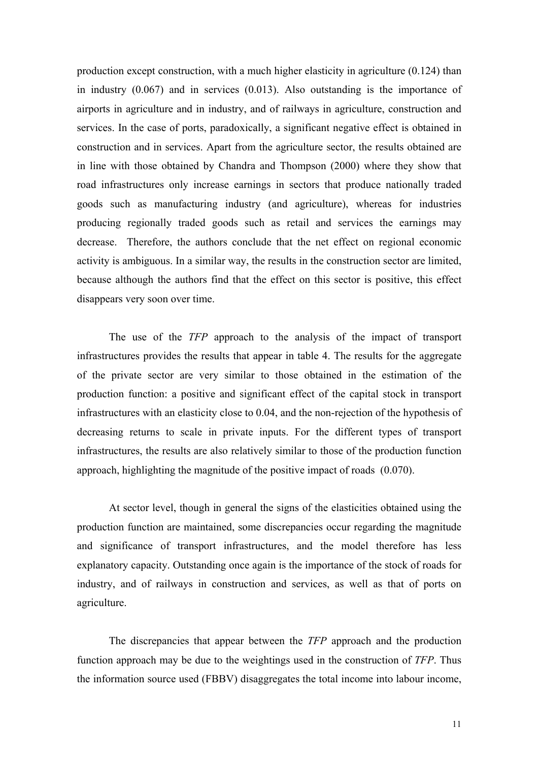production except construction, with a much higher elasticity in agriculture (0.124) than in industry (0.067) and in services (0.013). Also outstanding is the importance of airports in agriculture and in industry, and of railways in agriculture, construction and services. In the case of ports, paradoxically, a significant negative effect is obtained in construction and in services. Apart from the agriculture sector, the results obtained are in line with those obtained by Chandra and Thompson (2000) where they show that road infrastructures only increase earnings in sectors that produce nationally traded goods such as manufacturing industry (and agriculture), whereas for industries producing regionally traded goods such as retail and services the earnings may decrease. Therefore, the authors conclude that the net effect on regional economic activity is ambiguous. In a similar way, the results in the construction sector are limited, because although the authors find that the effect on this sector is positive, this effect disappears very soon over time.

 The use of the *TFP* approach to the analysis of the impact of transport infrastructures provides the results that appear in table 4. The results for the aggregate of the private sector are very similar to those obtained in the estimation of the production function: a positive and significant effect of the capital stock in transport infrastructures with an elasticity close to 0.04, and the non-rejection of the hypothesis of decreasing returns to scale in private inputs. For the different types of transport infrastructures, the results are also relatively similar to those of the production function approach, highlighting the magnitude of the positive impact of roads (0.070).

 At sector level, though in general the signs of the elasticities obtained using the production function are maintained, some discrepancies occur regarding the magnitude and significance of transport infrastructures, and the model therefore has less explanatory capacity. Outstanding once again is the importance of the stock of roads for industry, and of railways in construction and services, as well as that of ports on agriculture.

The discrepancies that appear between the *TFP* approach and the production function approach may be due to the weightings used in the construction of *TFP*. Thus the information source used (FBBV) disaggregates the total income into labour income,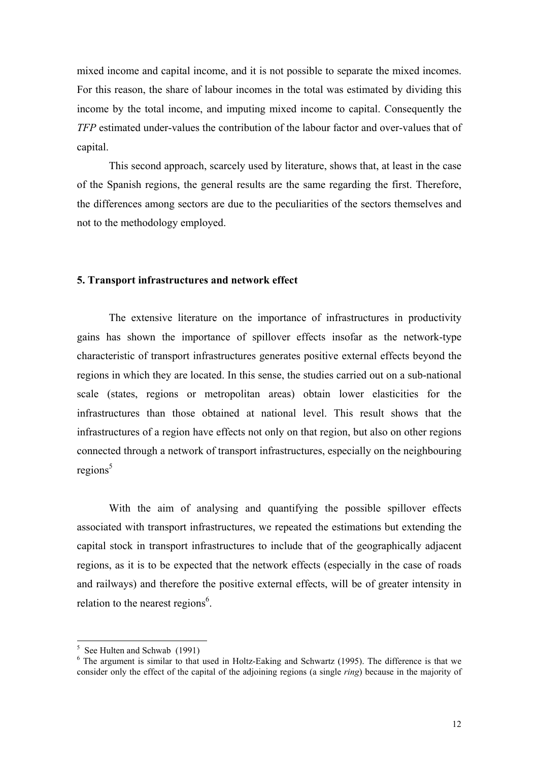mixed income and capital income, and it is not possible to separate the mixed incomes. For this reason, the share of labour incomes in the total was estimated by dividing this income by the total income, and imputing mixed income to capital. Consequently the *TFP* estimated under-values the contribution of the labour factor and over-values that of capital.

 This second approach, scarcely used by literature, shows that, at least in the case of the Spanish regions, the general results are the same regarding the first. Therefore, the differences among sectors are due to the peculiarities of the sectors themselves and not to the methodology employed.

## **5. Transport infrastructures and network effect**

 The extensive literature on the importance of infrastructures in productivity gains has shown the importance of spillover effects insofar as the network-type characteristic of transport infrastructures generates positive external effects beyond the regions in which they are located. In this sense, the studies carried out on a sub-national scale (states, regions or metropolitan areas) obtain lower elasticities for the infrastructures than those obtained at national level. This result shows that the infrastructures of a region have effects not only on that region, but also on other regions connected through a network of transport infrastructures, especially on the neighbouring  $regions^5$ 

With the aim of analysing and quantifying the possible spillover effects associated with transport infrastructures, we repeated the estimations but extending the capital stock in transport infrastructures to include that of the geographically adjacent regions, as it is to be expected that the network effects (especially in the case of roads and railways) and therefore the positive external effects, will be of greater intensity in relation to the nearest regions<sup>6</sup>.

<sup>&</sup>lt;sup>5</sup> See Hulten and Schwab (1991)

<sup>&</sup>lt;sup>6</sup> The argument is similar to that used in Holtz-Eaking and Schwartz (1995). The difference is that we consider only the effect of the capital of the adjoining regions (a single *ring*) because in the majority of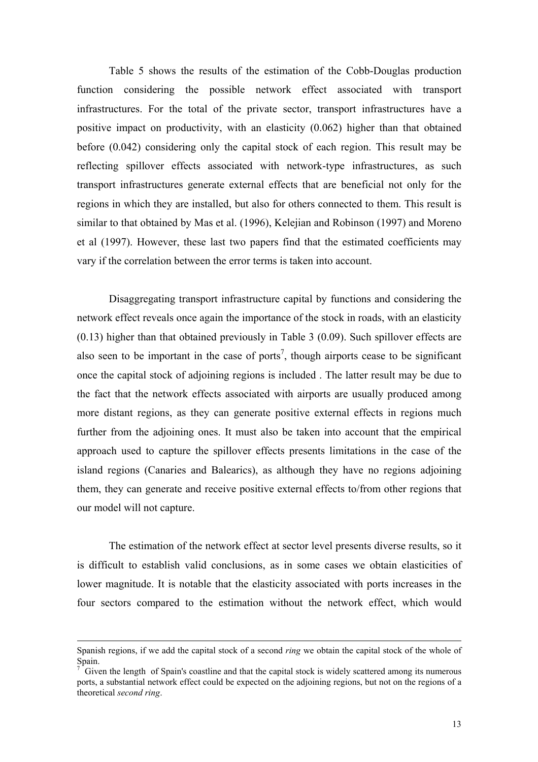Table 5 shows the results of the estimation of the Cobb-Douglas production function considering the possible network effect associated with transport infrastructures. For the total of the private sector, transport infrastructures have a positive impact on productivity, with an elasticity (0.062) higher than that obtained before (0.042) considering only the capital stock of each region. This result may be reflecting spillover effects associated with network-type infrastructures, as such transport infrastructures generate external effects that are beneficial not only for the regions in which they are installed, but also for others connected to them. This result is similar to that obtained by Mas et al. (1996), Kelejian and Robinson (1997) and Moreno et al (1997). However, these last two papers find that the estimated coefficients may vary if the correlation between the error terms is taken into account.

Disaggregating transport infrastructure capital by functions and considering the network effect reveals once again the importance of the stock in roads, with an elasticity (0.13) higher than that obtained previously in Table 3 (0.09). Such spillover effects are also seen to be important in the case of ports<sup>7</sup>, though airports cease to be significant once the capital stock of adjoining regions is included . The latter result may be due to the fact that the network effects associated with airports are usually produced among more distant regions, as they can generate positive external effects in regions much further from the adjoining ones. It must also be taken into account that the empirical approach used to capture the spillover effects presents limitations in the case of the island regions (Canaries and Balearics), as although they have no regions adjoining them, they can generate and receive positive external effects to/from other regions that our model will not capture.

The estimation of the network effect at sector level presents diverse results, so it is difficult to establish valid conclusions, as in some cases we obtain elasticities of lower magnitude. It is notable that the elasticity associated with ports increases in the four sectors compared to the estimation without the network effect, which would

-

Spanish regions, if we add the capital stock of a second *ring* we obtain the capital stock of the whole of Spain.

<sup>7</sup> Given the length of Spain's coastline and that the capital stock is widely scattered among its numerous ports, a substantial network effect could be expected on the adjoining regions, but not on the regions of a theoretical *second ring*.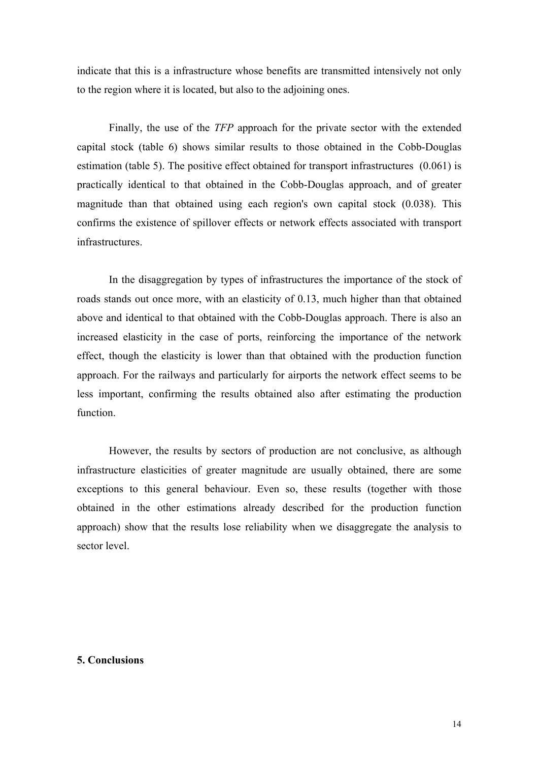indicate that this is a infrastructure whose benefits are transmitted intensively not only to the region where it is located, but also to the adjoining ones.

Finally, the use of the *TFP* approach for the private sector with the extended capital stock (table 6) shows similar results to those obtained in the Cobb-Douglas estimation (table 5). The positive effect obtained for transport infrastructures (0.061) is practically identical to that obtained in the Cobb-Douglas approach, and of greater magnitude than that obtained using each region's own capital stock (0.038). This confirms the existence of spillover effects or network effects associated with transport infrastructures.

In the disaggregation by types of infrastructures the importance of the stock of roads stands out once more, with an elasticity of 0.13, much higher than that obtained above and identical to that obtained with the Cobb-Douglas approach. There is also an increased elasticity in the case of ports, reinforcing the importance of the network effect, though the elasticity is lower than that obtained with the production function approach. For the railways and particularly for airports the network effect seems to be less important, confirming the results obtained also after estimating the production function.

However, the results by sectors of production are not conclusive, as although infrastructure elasticities of greater magnitude are usually obtained, there are some exceptions to this general behaviour. Even so, these results (together with those obtained in the other estimations already described for the production function approach) show that the results lose reliability when we disaggregate the analysis to sector level.

## **5. Conclusions**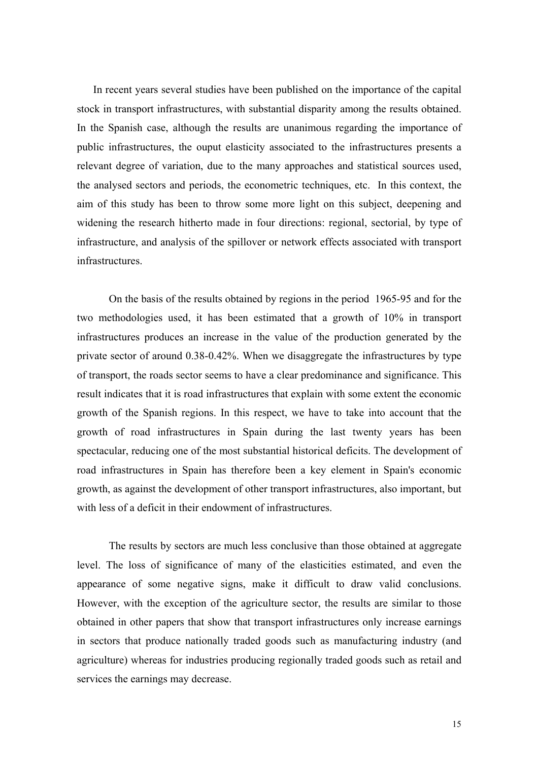In recent years several studies have been published on the importance of the capital stock in transport infrastructures, with substantial disparity among the results obtained. In the Spanish case, although the results are unanimous regarding the importance of public infrastructures, the ouput elasticity associated to the infrastructures presents a relevant degree of variation, due to the many approaches and statistical sources used, the analysed sectors and periods, the econometric techniques, etc. In this context, the aim of this study has been to throw some more light on this subject, deepening and widening the research hitherto made in four directions: regional, sectorial, by type of infrastructure, and analysis of the spillover or network effects associated with transport infrastructures.

On the basis of the results obtained by regions in the period 1965-95 and for the two methodologies used, it has been estimated that a growth of 10% in transport infrastructures produces an increase in the value of the production generated by the private sector of around 0.38-0.42%. When we disaggregate the infrastructures by type of transport, the roads sector seems to have a clear predominance and significance. This result indicates that it is road infrastructures that explain with some extent the economic growth of the Spanish regions. In this respect, we have to take into account that the growth of road infrastructures in Spain during the last twenty years has been spectacular, reducing one of the most substantial historical deficits. The development of road infrastructures in Spain has therefore been a key element in Spain's economic growth, as against the development of other transport infrastructures, also important, but with less of a deficit in their endowment of infrastructures.

The results by sectors are much less conclusive than those obtained at aggregate level. The loss of significance of many of the elasticities estimated, and even the appearance of some negative signs, make it difficult to draw valid conclusions. However, with the exception of the agriculture sector, the results are similar to those obtained in other papers that show that transport infrastructures only increase earnings in sectors that produce nationally traded goods such as manufacturing industry (and agriculture) whereas for industries producing regionally traded goods such as retail and services the earnings may decrease.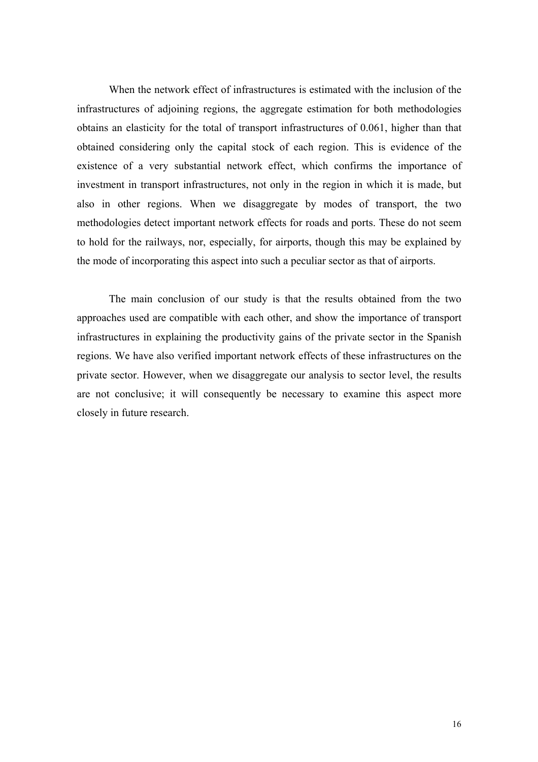When the network effect of infrastructures is estimated with the inclusion of the infrastructures of adjoining regions, the aggregate estimation for both methodologies obtains an elasticity for the total of transport infrastructures of 0.061, higher than that obtained considering only the capital stock of each region. This is evidence of the existence of a very substantial network effect, which confirms the importance of investment in transport infrastructures, not only in the region in which it is made, but also in other regions. When we disaggregate by modes of transport, the two methodologies detect important network effects for roads and ports. These do not seem to hold for the railways, nor, especially, for airports, though this may be explained by the mode of incorporating this aspect into such a peculiar sector as that of airports.

The main conclusion of our study is that the results obtained from the two approaches used are compatible with each other, and show the importance of transport infrastructures in explaining the productivity gains of the private sector in the Spanish regions. We have also verified important network effects of these infrastructures on the private sector. However, when we disaggregate our analysis to sector level, the results are not conclusive; it will consequently be necessary to examine this aspect more closely in future research.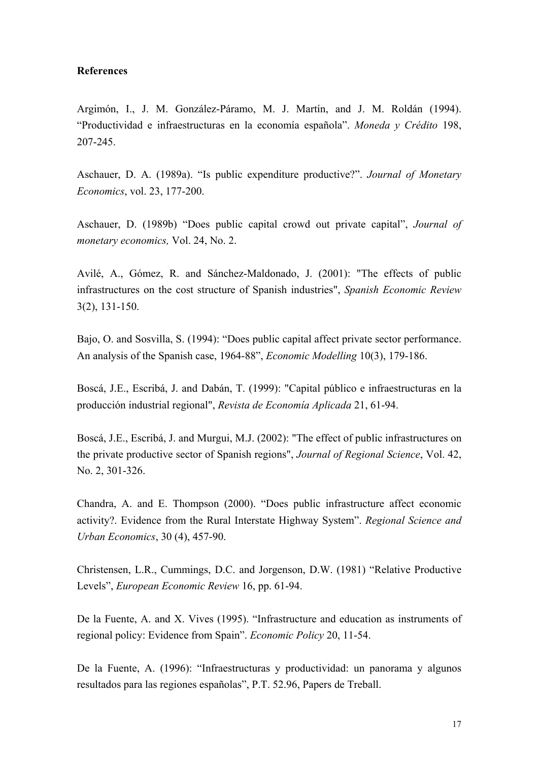#### **References**

Argimón, I., J. M. González-Páramo, M. J. Martín, and J. M. Roldán (1994). "Productividad e infraestructuras en la economía española". *Moneda y Crédito* 198, 207-245.

Aschauer, D. A. (1989a). "Is public expenditure productive?". *Journal of Monetary Economics*, vol. 23, 177-200.

Aschauer, D. (1989b) "Does public capital crowd out private capital", *Journal of monetary economics,* Vol. 24, No. 2.

Avilé, A., Gómez, R. and Sánchez-Maldonado, J. (2001): "The effects of public infrastructures on the cost structure of Spanish industries", *Spanish Economic Review*  3(2), 131-150.

Bajo, O. and Sosvilla, S. (1994): "Does public capital affect private sector performance. An analysis of the Spanish case, 1964-88", *Economic Modelling* 10(3), 179-186.

Boscá, J.E., Escribá, J. and Dabán, T. (1999): "Capital público e infraestructuras en la producción industrial regional", *Revista de Economía Aplicada* 21, 61-94.

Boscá, J.E., Escribá, J. and Murgui, M.J. (2002): "The effect of public infrastructures on the private productive sector of Spanish regions", *Journal of Regional Science*, Vol. 42, No. 2, 301-326.

Chandra, A. and E. Thompson (2000). "Does public infrastructure affect economic activity?. Evidence from the Rural Interstate Highway System". *Regional Science and Urban Economics*, 30 (4), 457-90.

Christensen, L.R., Cummings, D.C. and Jorgenson, D.W. (1981) "Relative Productive Levels", *European Economic Review* 16, pp. 61-94.

De la Fuente, A. and X. Vives (1995). "Infrastructure and education as instruments of regional policy: Evidence from Spain". *Economic Policy* 20, 11-54.

De la Fuente, A. (1996): "Infraestructuras y productividad: un panorama y algunos resultados para las regiones españolas", P.T. 52.96, Papers de Treball.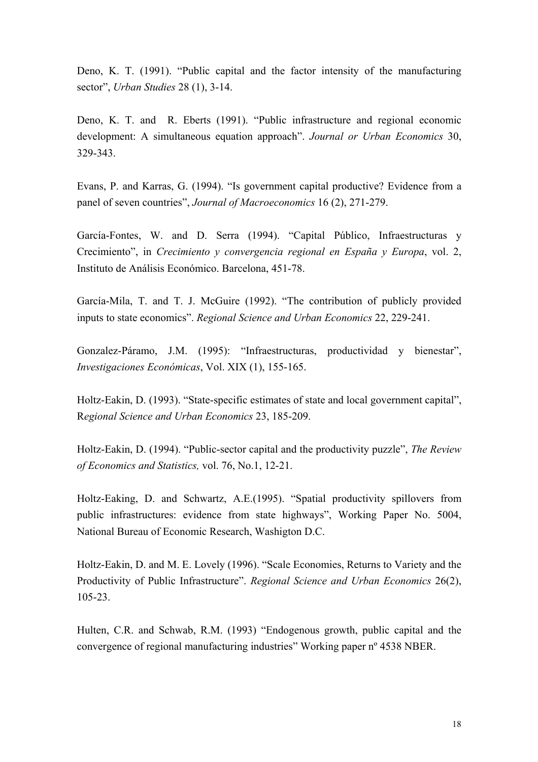Deno, K. T. (1991). "Public capital and the factor intensity of the manufacturing sector", *Urban Studies* 28 (1), 3-14.

Deno, K. T. and R. Eberts (1991). "Public infrastructure and regional economic development: A simultaneous equation approach". *Journal or Urban Economics* 30, 329-343.

Evans, P. and Karras, G. (1994). "Is government capital productive? Evidence from a panel of seven countries", *Journal of Macroeconomics* 16 (2), 271-279.

García-Fontes, W. and D. Serra (1994). "Capital Público, Infraestructuras y Crecimiento", in *Crecimiento y convergencia regional en España y Europa*, vol. 2, Instituto de Análisis Económico. Barcelona, 451-78.

García-Mila, T. and T. J. McGuire (1992). "The contribution of publicly provided inputs to state economics". *Regional Science and Urban Economics* 22, 229-241.

Gonzalez-Páramo, J.M. (1995): "Infraestructuras, productividad y bienestar", *Investigaciones Económicas*, Vol. XIX (1), 155-165.

Holtz-Eakin, D. (1993). "State-specific estimates of state and local government capital", R*egional Science and Urban Economics* 23, 185-209.

Holtz-Eakin, D. (1994). "Public-sector capital and the productivity puzzle", *The Review of Economics and Statistics,* vol. 76, No.1, 12-21.

Holtz-Eaking, D. and Schwartz, A.E.(1995). "Spatial productivity spillovers from public infrastructures: evidence from state highways", Working Paper No. 5004, National Bureau of Economic Research, Washigton D.C.

Holtz-Eakin, D. and M. E. Lovely (1996). "Scale Economies, Returns to Variety and the Productivity of Public Infrastructure". *Regional Science and Urban Economics* 26(2), 105-23.

Hulten, C.R. and Schwab, R.M. (1993) "Endogenous growth, public capital and the convergence of regional manufacturing industries" Working paper nº 4538 NBER.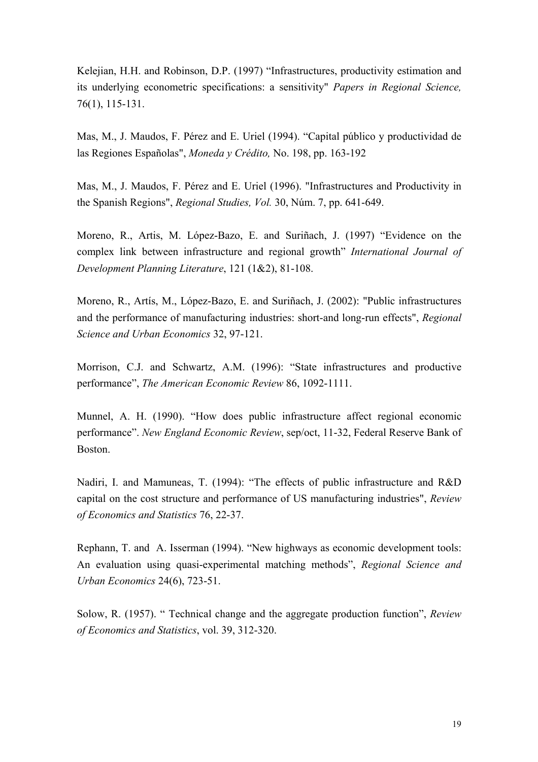Kelejian, H.H. and Robinson, D.P. (1997) "Infrastructures, productivity estimation and its underlying econometric specifications: a sensitivity" *Papers in Regional Science,* 76(1), 115-131.

Mas, M., J. Maudos, F. Pérez and E. Uriel (1994). "Capital público y productividad de las Regiones Españolas", *Moneda y Crédito,* No. 198, pp. 163-192

Mas, M., J. Maudos, F. Pérez and E. Uriel (1996). "Infrastructures and Productivity in the Spanish Regions", *Regional Studies, Vol.* 30, Núm. 7, pp. 641-649.

Moreno, R., Artis, M. López-Bazo, E. and Suriñach, J. (1997) "Evidence on the complex link between infrastructure and regional growth" *International Journal of Development Planning Literature*, 121 (1&2), 81-108.

Moreno, R., Artís, M., López-Bazo, E. and Suriñach, J. (2002): "Public infrastructures and the performance of manufacturing industries: short-and long-run effects", *Regional Science and Urban Economics* 32, 97-121.

Morrison, C.J. and Schwartz, A.M. (1996): "State infrastructures and productive performance", *The American Economic Review* 86, 1092-1111.

Munnel, A. H. (1990). "How does public infrastructure affect regional economic performance". *New England Economic Review*, sep/oct, 11-32, Federal Reserve Bank of Boston.

Nadiri, I. and Mamuneas, T. (1994): "The effects of public infrastructure and R&D capital on the cost structure and performance of US manufacturing industries", *Review of Economics and Statistics* 76, 22-37.

Rephann, T. and A. Isserman (1994). "New highways as economic development tools: An evaluation using quasi-experimental matching methods", *Regional Science and Urban Economics* 24(6), 723-51.

Solow, R. (1957). " Technical change and the aggregate production function", *Review of Economics and Statistics*, vol. 39, 312-320.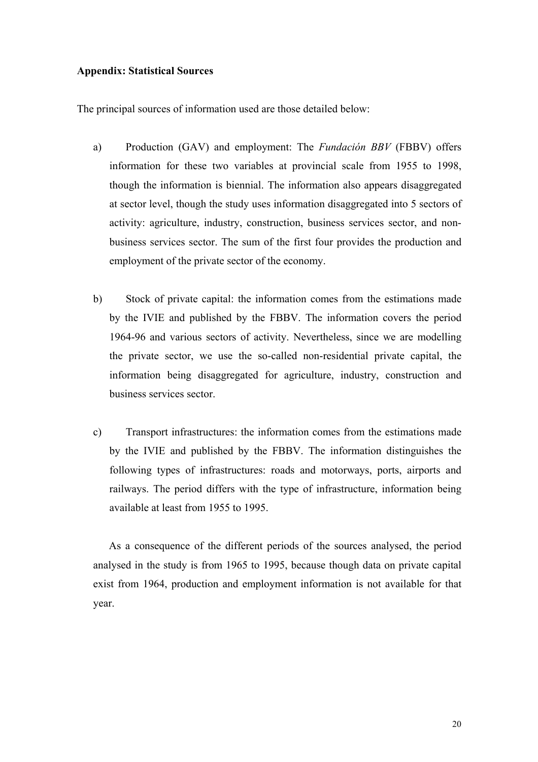### **Appendix: Statistical Sources**

The principal sources of information used are those detailed below:

- a) Production (GAV) and employment: The *Fundación BBV* (FBBV) offers information for these two variables at provincial scale from 1955 to 1998, though the information is biennial. The information also appears disaggregated at sector level, though the study uses information disaggregated into 5 sectors of activity: agriculture, industry, construction, business services sector, and nonbusiness services sector. The sum of the first four provides the production and employment of the private sector of the economy.
- b) Stock of private capital: the information comes from the estimations made by the IVIE and published by the FBBV. The information covers the period 1964-96 and various sectors of activity. Nevertheless, since we are modelling the private sector, we use the so-called non-residential private capital, the information being disaggregated for agriculture, industry, construction and business services sector.
- c) Transport infrastructures: the information comes from the estimations made by the IVIE and published by the FBBV. The information distinguishes the following types of infrastructures: roads and motorways, ports, airports and railways. The period differs with the type of infrastructure, information being available at least from 1955 to 1995.

As a consequence of the different periods of the sources analysed, the period analysed in the study is from 1965 to 1995, because though data on private capital exist from 1964, production and employment information is not available for that year.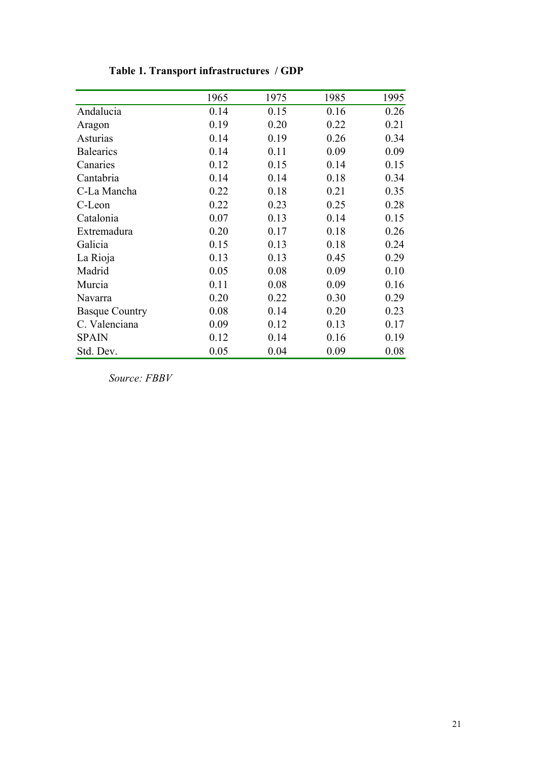|                       | 1965 | 1975 | 1985 | 1995 |
|-----------------------|------|------|------|------|
| Andalucia             | 0.14 | 0.15 | 0.16 | 0.26 |
| Aragon                | 0.19 | 0.20 | 0.22 | 0.21 |
| Asturias              | 0.14 | 0.19 | 0.26 | 0.34 |
| <b>Balearics</b>      | 0.14 | 0.11 | 0.09 | 0.09 |
| Canaries              | 0.12 | 0.15 | 0.14 | 0.15 |
| Cantabria             | 0.14 | 0.14 | 0.18 | 0.34 |
| C-La Mancha           | 0.22 | 0.18 | 0.21 | 0.35 |
| C-Leon                | 0.22 | 0.23 | 0.25 | 0.28 |
| Catalonia             | 0.07 | 0.13 | 0.14 | 0.15 |
| Extremadura           | 0.20 | 0.17 | 0.18 | 0.26 |
| Galicia               | 0.15 | 0.13 | 0.18 | 0.24 |
| La Rioja              | 0.13 | 0.13 | 0.45 | 0.29 |
| Madrid                | 0.05 | 0.08 | 0.09 | 0.10 |
| Murcia                | 0.11 | 0.08 | 0.09 | 0.16 |
| Navarra               | 0.20 | 0.22 | 0.30 | 0.29 |
| <b>Basque Country</b> | 0.08 | 0.14 | 0.20 | 0.23 |
| C. Valenciana         | 0.09 | 0.12 | 0.13 | 0.17 |
| <b>SPAIN</b>          | 0.12 | 0.14 | 0.16 | 0.19 |
| Std. Dev.             | 0.05 | 0.04 | 0.09 | 0.08 |

**Table 1. Transport infrastructures / GDP** 

*Source: FBBV*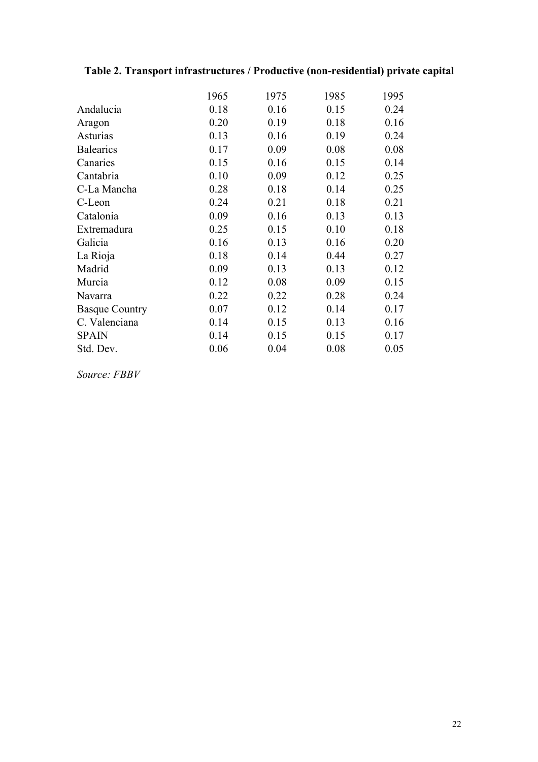| 1965 | 1975 | 1985 | 1995 |
|------|------|------|------|
| 0.18 | 0.16 | 0.15 | 0.24 |
| 0.20 | 0.19 | 0.18 | 0.16 |
| 0.13 | 0.16 | 0.19 | 0.24 |
| 0.17 | 0.09 | 0.08 | 0.08 |
| 0.15 | 0.16 | 0.15 | 0.14 |
| 0.10 | 0.09 | 0.12 | 0.25 |
| 0.28 | 0.18 | 0.14 | 0.25 |
| 0.24 | 0.21 | 0.18 | 0.21 |
| 0.09 | 0.16 | 0.13 | 0.13 |
| 0.25 | 0.15 | 0.10 | 0.18 |
| 0.16 | 0.13 | 0.16 | 0.20 |
| 0.18 | 0.14 | 0.44 | 0.27 |
| 0.09 | 0.13 | 0.13 | 0.12 |
| 0.12 | 0.08 | 0.09 | 0.15 |
| 0.22 | 0.22 | 0.28 | 0.24 |
| 0.07 | 0.12 | 0.14 | 0.17 |
| 0.14 | 0.15 | 0.13 | 0.16 |
| 0.14 | 0.15 | 0.15 | 0.17 |
| 0.06 | 0.04 | 0.08 | 0.05 |
|      |      |      |      |

# **Table 2. Transport infrastructures / Productive (non-residential) private capital**

*Source: FBBV*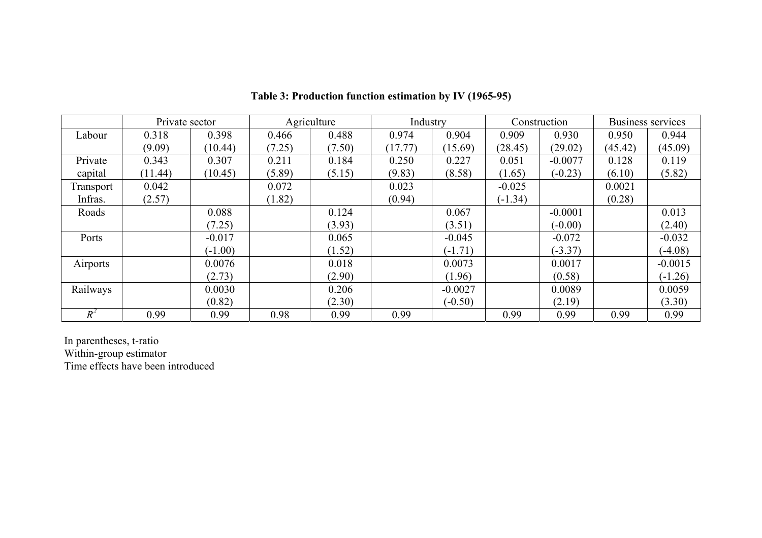|           | Private sector |           |        | Agriculture | Industry |           |           | Construction |         | Business services |
|-----------|----------------|-----------|--------|-------------|----------|-----------|-----------|--------------|---------|-------------------|
| Labour    | 0.318          | 0.398     | 0.466  | 0.488       | 0.974    | 0.904     | 0.909     | 0.930        | 0.950   | 0.944             |
|           | (9.09)         | (10.44)   | (7.25) | (7.50)      | (17.77)  | (15.69)   | (28.45)   | (29.02)      | (45.42) | (45.09)           |
| Private   | 0.343          | 0.307     | 0.211  | 0.184       | 0.250    | 0.227     | 0.051     | $-0.0077$    | 0.128   | 0.119             |
| capital   | (11.44)        | (10.45)   | (5.89) | (5.15)      | (9.83)   | (8.58)    | (1.65)    | $(-0.23)$    | (6.10)  | (5.82)            |
| Transport | 0.042          |           | 0.072  |             | 0.023    |           | $-0.025$  |              | 0.0021  |                   |
| Infras.   | (2.57)         |           | (1.82) |             | (0.94)   |           | $(-1.34)$ |              | (0.28)  |                   |
| Roads     |                | 0.088     |        | 0.124       |          | 0.067     |           | $-0.0001$    |         | 0.013             |
|           |                | (7.25)    |        | (3.93)      |          | (3.51)    |           | $(-0.00)$    |         | (2.40)            |
| Ports     |                | $-0.017$  |        | 0.065       |          | $-0.045$  |           | $-0.072$     |         | $-0.032$          |
|           |                | $(-1.00)$ |        | (1.52)      |          | $(-1.71)$ |           | $(-3.37)$    |         | $(-4.08)$         |
| Airports  |                | 0.0076    |        | 0.018       |          | 0.0073    |           | 0.0017       |         | $-0.0015$         |
|           |                | (2.73)    |        | (2.90)      |          | (1.96)    |           | (0.58)       |         | $(-1.26)$         |
| Railways  |                | 0.0030    |        | 0.206       |          | $-0.0027$ |           | 0.0089       |         | 0.0059            |
|           |                | (0.82)    |        | (2.30)      |          | $(-0.50)$ |           | (2.19)       |         | (3.30)            |
| $R^2$     | 0.99           | 0.99      | 0.98   | 0.99        | 0.99     |           | 0.99      | 0.99         | 0.99    | 0.99              |

**Table 3: Production function estimation by IV (1965-95)** 

In parentheses, t-ratio Within-group estimator Time effects have been introduced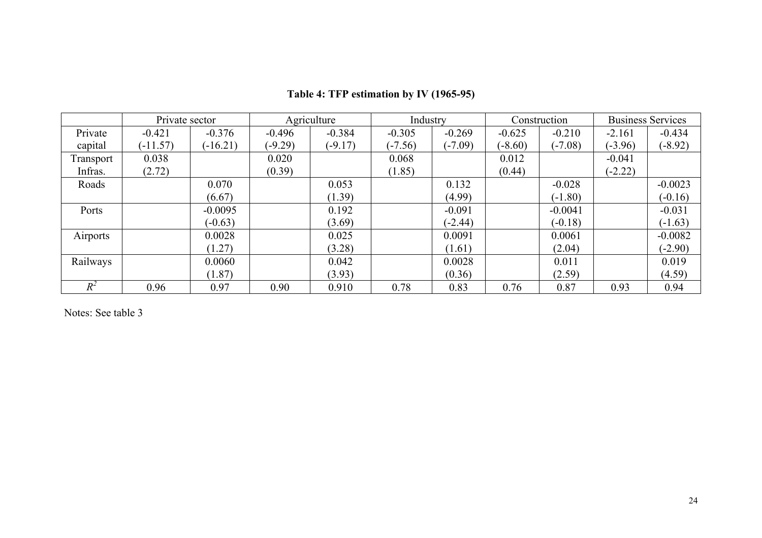|           | Private sector |            |           | Agriculture | Industry  |           |           | Construction |           | <b>Business Services</b> |
|-----------|----------------|------------|-----------|-------------|-----------|-----------|-----------|--------------|-----------|--------------------------|
| Private   | $-0.421$       | $-0.376$   | $-0.496$  | $-0.384$    | $-0.305$  | $-0.269$  | $-0.625$  | $-0.210$     | $-2.161$  | $-0.434$                 |
| capital   | $(-11.57)$     | $(-16.21)$ | $(-9.29)$ | $(-9.17)$   | $(-7.56)$ | $(-7.09)$ | $(-8.60)$ | $(-7.08)$    | $(-3.96)$ | $(-8.92)$                |
| Transport | 0.038          |            | 0.020     |             | 0.068     |           | 0.012     |              | $-0.041$  |                          |
| Infras.   | (2.72)         |            | (0.39)    |             | (1.85)    |           | (0.44)    |              | $(-2.22)$ |                          |
| Roads     |                | 0.070      |           | 0.053       |           | 0.132     |           | $-0.028$     |           | $-0.0023$                |
|           |                | (6.67)     |           | (1.39)      |           | (4.99)    |           | $(-1.80)$    |           | $(-0.16)$                |
| Ports     |                | $-0.0095$  |           | 0.192       |           | $-0.091$  |           | $-0.0041$    |           | $-0.031$                 |
|           |                | $(-0.63)$  |           | (3.69)      |           | $(-2.44)$ |           | $(-0.18)$    |           | $(-1.63)$                |
| Airports  |                | 0.0028     |           | 0.025       |           | 0.0091    |           | 0.0061       |           | $-0.0082$                |
|           |                | (1.27)     |           | (3.28)      |           | (1.61)    |           | (2.04)       |           | $(-2.90)$                |
| Railways  |                | 0.0060     |           | 0.042       |           | 0.0028    |           | 0.011        |           | 0.019                    |
|           |                | (1.87)     |           | (3.93)      |           | (0.36)    |           | (2.59)       |           | (4.59)                   |
| $R^2$     | 0.96           | 0.97       | 0.90      | 0.910       | 0.78      | 0.83      | 0.76      | 0.87         | 0.93      | 0.94                     |

# **Table 4: TFP estimation by IV (1965-95)**

Notes: See table 3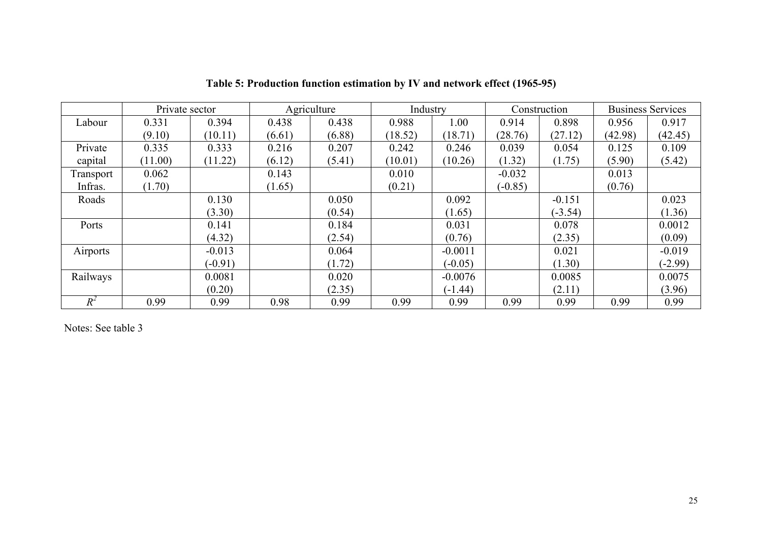|           | Private sector |           |        | Agriculture | Industry |           |           | Construction |         | <b>Business Services</b> |
|-----------|----------------|-----------|--------|-------------|----------|-----------|-----------|--------------|---------|--------------------------|
| Labour    | 0.331          | 0.394     | 0.438  | 0.438       | 0.988    | 1.00      | 0.914     | 0.898        | 0.956   | 0.917                    |
|           | (9.10)         | (10.11)   | (6.61) | (6.88)      | (18.52)  | (18.71)   | (28.76)   | (27.12)      | (42.98) | (42.45)                  |
| Private   | 0.335          | 0.333     | 0.216  | 0.207       | 0.242    | 0.246     | 0.039     | 0.054        | 0.125   | 0.109                    |
| capital   | (11.00)        | (11.22)   | (6.12) | (5.41)      | (10.01)  | (10.26)   | (1.32)    | (1.75)       | (5.90)  | (5.42)                   |
| Transport | 0.062          |           | 0.143  |             | 0.010    |           | $-0.032$  |              | 0.013   |                          |
| Infras.   | (1.70)         |           | (1.65) |             | (0.21)   |           | $(-0.85)$ |              | (0.76)  |                          |
| Roads     |                | 0.130     |        | 0.050       |          | 0.092     |           | $-0.151$     |         | 0.023                    |
|           |                | (3.30)    |        | (0.54)      |          | (1.65)    |           | $(-3.54)$    |         | (1.36)                   |
| Ports     |                | 0.141     |        | 0.184       |          | 0.031     |           | 0.078        |         | 0.0012                   |
|           |                | (4.32)    |        | (2.54)      |          | (0.76)    |           | (2.35)       |         | (0.09)                   |
| Airports  |                | $-0.013$  |        | 0.064       |          | $-0.0011$ |           | 0.021        |         | $-0.019$                 |
|           |                | $(-0.91)$ |        | (1.72)      |          | $(-0.05)$ |           | (1.30)       |         | $(-2.99)$                |
| Railways  |                | 0.0081    |        | 0.020       |          | $-0.0076$ |           | 0.0085       |         | 0.0075                   |
|           |                | (0.20)    |        | (2.35)      |          | $(-1.44)$ |           | (2.11)       |         | (3.96)                   |
| $R^2$     | 0.99           | 0.99      | 0.98   | 0.99        | 0.99     | 0.99      | 0.99      | 0.99         | 0.99    | 0.99                     |

**Table 5: Production function estimation by IV and network effect (1965-95)** 

Notes: See table 3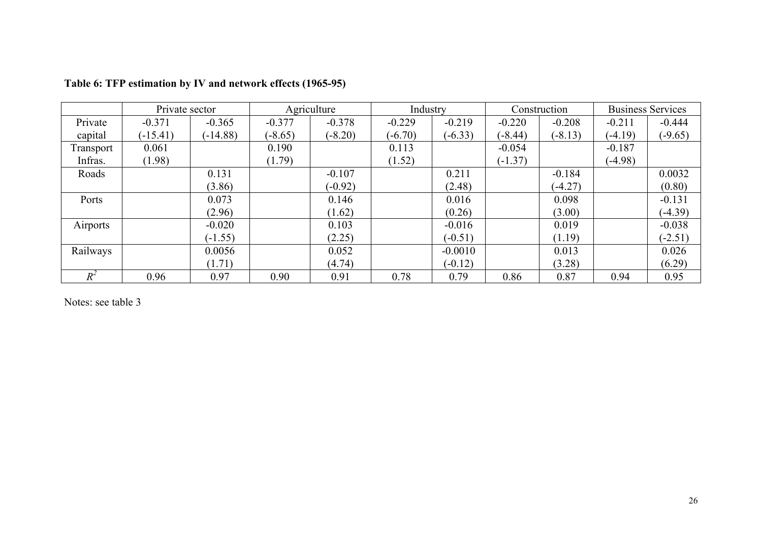|           | Private sector |            |           | Agriculture | Industry  |           |           | Construction | <b>Business Services</b> |           |
|-----------|----------------|------------|-----------|-------------|-----------|-----------|-----------|--------------|--------------------------|-----------|
| Private   | $-0.371$       | $-0.365$   | $-0.377$  | $-0.378$    | $-0.229$  | $-0.219$  | $-0.220$  | $-0.208$     | $-0.211$                 | $-0.444$  |
| capital   | $(-15.41)$     | $(-14.88)$ | $(-8.65)$ | $(-8.20)$   | $(-6.70)$ | $(-6.33)$ | $(-8.44)$ | $(-8.13)$    | $(-4.19)$                | $(-9.65)$ |
| Transport | 0.061          |            | 0.190     |             | 0.113     |           | $-0.054$  |              | $-0.187$                 |           |
| Infras.   | (1.98)         |            | (1.79)    |             | (1.52)    |           | $(-1.37)$ |              | $(-4.98)$                |           |
| Roads     |                | 0.131      |           | $-0.107$    |           | 0.211     |           | $-0.184$     |                          | 0.0032    |
|           |                | (3.86)     |           | $(-0.92)$   |           | (2.48)    |           | $(-4.27)$    |                          | (0.80)    |
| Ports     |                | 0.073      |           | 0.146       |           | 0.016     |           | 0.098        |                          | $-0.131$  |
|           |                | (2.96)     |           | (1.62)      |           | (0.26)    |           | (3.00)       |                          | $(-4.39)$ |
| Airports  |                | $-0.020$   |           | 0.103       |           | $-0.016$  |           | 0.019        |                          | $-0.038$  |
|           |                | $(-1.55)$  |           | (2.25)      |           | $(-0.51)$ |           | (1.19)       |                          | $(-2.51)$ |
| Railways  |                | 0.0056     |           | 0.052       |           | $-0.0010$ |           | 0.013        |                          | 0.026     |
|           |                | (1.71)     |           | (4.74)      |           | $(-0.12)$ |           | (3.28)       |                          | (6.29)    |
| $R^2$     | 0.96           | 0.97       | 0.90      | 0.91        | 0.78      | 0.79      | 0.86      | 0.87         | 0.94                     | 0.95      |

# **Table 6: TFP estimation by IV and network effects (1965-95)**

Notes: see table 3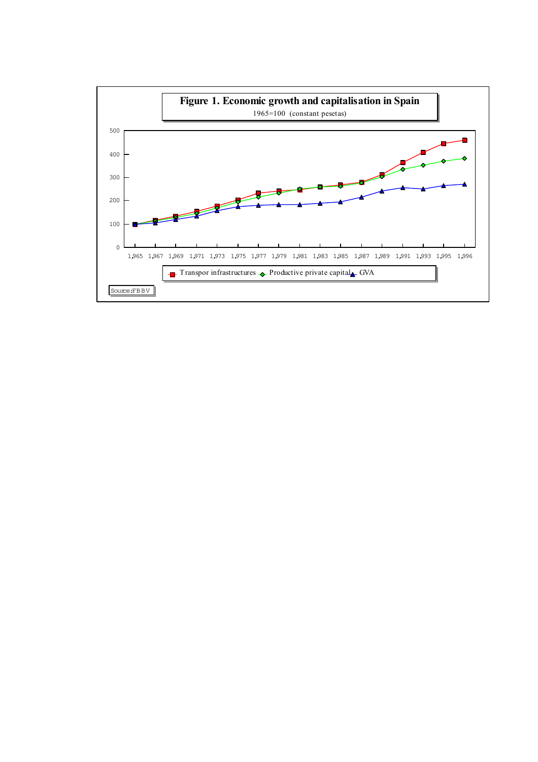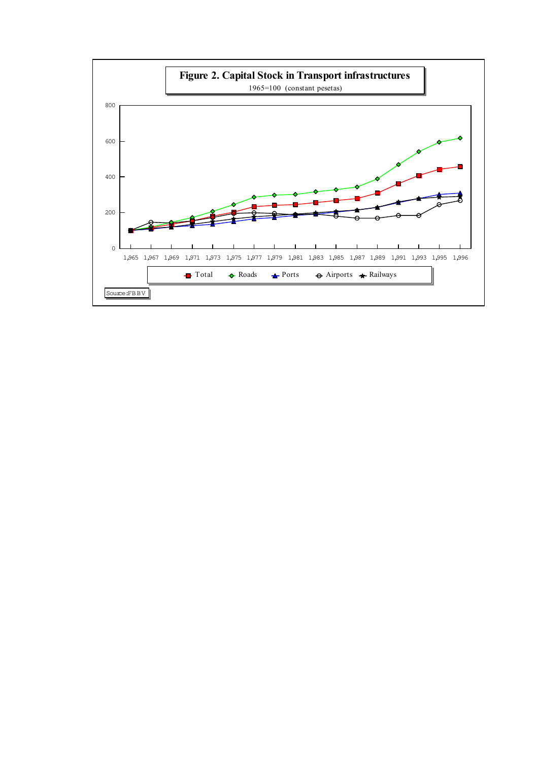